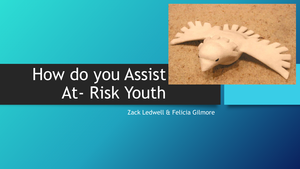# How do you Assist At- Risk Youth

Zack Ledwell & Felicia Gilmore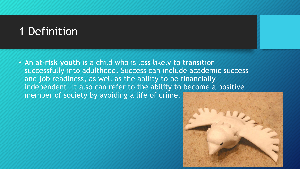# 1 Definition

• An at-**risk youth** is a child who is less likely to transition successfully into adulthood. Success can include academic success and job readiness, as well as the ability to be financially independent. It also can refer to the ability to become a positive member of society by avoiding a life of crime.

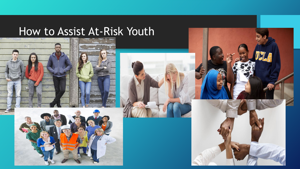# How to Assist At-Risk Youth



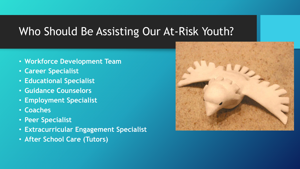### Who Should Be Assisting Our At-Risk Youth?

- **Workforce Development Team**
- **Career Specialist**
- **Educational Specialist**
- **Guidance Counselors**
- **Employment Specialist**
- **Coaches**
- **Peer Specialist**
- **Extracurricular Engagement Specialist**
- **After School Care (Tutors)**

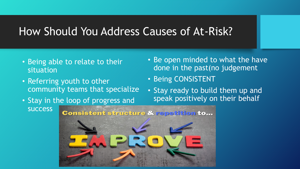#### How Should You Address Causes of At-Risk?

- Being able to relate to their situation
- Referring youth to other community teams that specialize
- Stay in the loop of progress and success
- Be open minded to what the have done in the past(no judgement
- Being CONSISTENT
- Stay ready to build them up and speak positively on their behalf

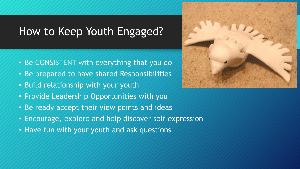# How to Keep Youth Engaged?

- Be CONSISTENT with everything that you do
- Be prepared to have shared Responsibilities
- Build relationship with your youth
- Provide Leadership Opportunities with you
- Be ready accept their view points and ideas
- Encourage, explore and help discover self expression
- Have fun with your youth and ask questions